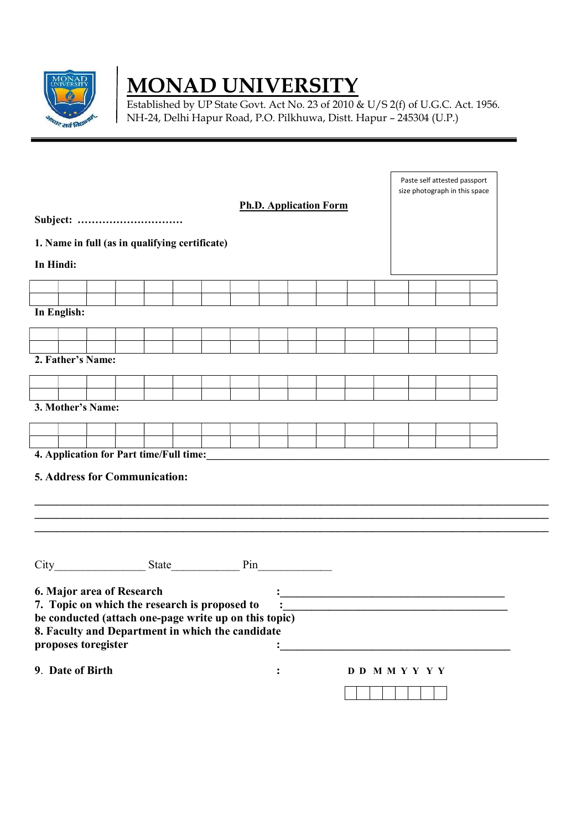

# **MONAD UNIVERSITY**

Established by UP State Govt. Act No. 23 of 2010 & U/S 2(f) of U.G.C. Act. 1956. NH-24, Delhi Hapur Road, P.O. Pilkhuwa, Distt. Hapur – 245304 (U.P.)

| Subject:                                                                                                                                                                                                                              |                  |  |  |  |  |                 | <b>Ph.D. Application Form</b> |  |  |  |  | Paste self attested passport<br>size photograph in this space |  |
|---------------------------------------------------------------------------------------------------------------------------------------------------------------------------------------------------------------------------------------|------------------|--|--|--|--|-----------------|-------------------------------|--|--|--|--|---------------------------------------------------------------|--|
| 1. Name in full (as in qualifying certificate)                                                                                                                                                                                        |                  |  |  |  |  |                 |                               |  |  |  |  |                                                               |  |
| In Hindi:                                                                                                                                                                                                                             |                  |  |  |  |  |                 |                               |  |  |  |  |                                                               |  |
|                                                                                                                                                                                                                                       |                  |  |  |  |  |                 |                               |  |  |  |  |                                                               |  |
|                                                                                                                                                                                                                                       |                  |  |  |  |  |                 |                               |  |  |  |  |                                                               |  |
| In English:                                                                                                                                                                                                                           |                  |  |  |  |  |                 |                               |  |  |  |  |                                                               |  |
|                                                                                                                                                                                                                                       |                  |  |  |  |  |                 |                               |  |  |  |  |                                                               |  |
| 2. Father's Name:                                                                                                                                                                                                                     |                  |  |  |  |  |                 |                               |  |  |  |  |                                                               |  |
|                                                                                                                                                                                                                                       |                  |  |  |  |  |                 |                               |  |  |  |  |                                                               |  |
|                                                                                                                                                                                                                                       |                  |  |  |  |  |                 |                               |  |  |  |  |                                                               |  |
| 3. Mother's Name:                                                                                                                                                                                                                     |                  |  |  |  |  |                 |                               |  |  |  |  |                                                               |  |
|                                                                                                                                                                                                                                       |                  |  |  |  |  |                 |                               |  |  |  |  |                                                               |  |
| 4. Application for Part time/Full time:<br><u>Letting</u> the contract of the contract of the contract of the contract of the contract of the contract of the contract of the contract of the contract of the contract of the contrac |                  |  |  |  |  |                 |                               |  |  |  |  |                                                               |  |
| 5. Address for Communication:                                                                                                                                                                                                         |                  |  |  |  |  |                 |                               |  |  |  |  |                                                               |  |
|                                                                                                                                                                                                                                       |                  |  |  |  |  |                 |                               |  |  |  |  |                                                               |  |
| 6. Major area of Research<br>7. Topic on which the research is proposed to<br>be conducted (attach one-page write up on this topic)<br>8. Faculty and Department in which the candidate<br>proposes toregister                        |                  |  |  |  |  |                 |                               |  |  |  |  |                                                               |  |
|                                                                                                                                                                                                                                       | 9. Date of Birth |  |  |  |  | D D M M Y Y Y Y |                               |  |  |  |  |                                                               |  |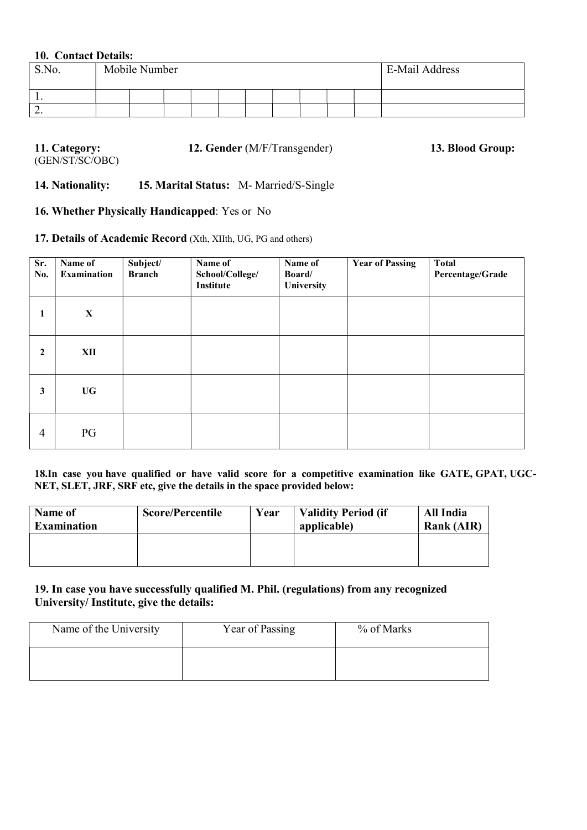### 10. Contact Details:

| S.No.    | Mobile Number |  |  |  |  |  | <b>E-Mail Address</b> |  |  |
|----------|---------------|--|--|--|--|--|-----------------------|--|--|
| . .      |               |  |  |  |  |  |                       |  |  |
| <u>.</u> |               |  |  |  |  |  |                       |  |  |

| 11. Category:   | <b>12. Gender</b> (M/F/Transgender) | 13. Blood Group: |
|-----------------|-------------------------------------|------------------|
| (GEN/ST/SC/OBC) |                                     |                  |

14. Nationality: 15. Marital Status: M- Married/S-Single

### 16. Whether Physically Handicapped: Yes or No

# 17. Details of Academic Record (Xth, XIIth, UG, PG and others)

| Sr.<br>No.       | Name of<br><b>Examination</b> | Subject/<br><b>Branch</b> | Name of<br>School/College/<br><b>Institute</b> | Name of<br>Board/<br>University | <b>Year of Passing</b> | <b>Total</b><br>Percentage/Grade |
|------------------|-------------------------------|---------------------------|------------------------------------------------|---------------------------------|------------------------|----------------------------------|
| 1                | $\mathbf X$                   |                           |                                                |                                 |                        |                                  |
| $\boldsymbol{2}$ | XII                           |                           |                                                |                                 |                        |                                  |
| 3                | <b>UG</b>                     |                           |                                                |                                 |                        |                                  |
| $\overline{4}$   | PG                            |                           |                                                |                                 |                        |                                  |

18.In case you have qualified or have valid score for a competitive examination like GATE, GPAT, UGC-NET, SLET, JRF, SRF etc, give the details in the space provided below:

| Name of<br><b>Examination</b> | <b>Score/Percentile</b> | Year | <b>Validity Period (if</b><br>applicable) | All India<br><b>Rank (AIR)</b> |
|-------------------------------|-------------------------|------|-------------------------------------------|--------------------------------|
|                               |                         |      |                                           |                                |

19. In case you have successfully qualified M. Phil. (regulations) from any recognized University/ Institute, give the details:

| Name of the University | Year of Passing | % of Marks |
|------------------------|-----------------|------------|
|                        |                 |            |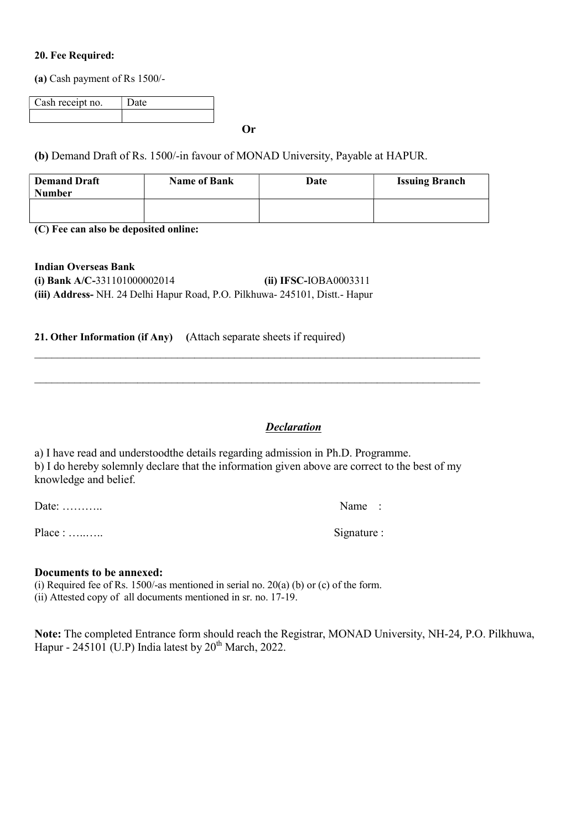#### 20. Fee Required:

(a) Cash payment of Rs 1500/-

| Cash receipt no. | Date |
|------------------|------|
|                  |      |
|                  |      |

Or

# (b) Demand Draft of Rs. 1500/-in favour of MONAD University, Payable at HAPUR.

| <b>Demand Draft</b><br><b>Number</b> | <b>Name of Bank</b> | Date | <b>Issuing Branch</b> |
|--------------------------------------|---------------------|------|-----------------------|
|                                      |                     |      |                       |

 $\mathcal{L}_\mathcal{L} = \{ \mathcal{L}_\mathcal{L} = \{ \mathcal{L}_\mathcal{L} = \{ \mathcal{L}_\mathcal{L} = \{ \mathcal{L}_\mathcal{L} = \{ \mathcal{L}_\mathcal{L} = \{ \mathcal{L}_\mathcal{L} = \{ \mathcal{L}_\mathcal{L} = \{ \mathcal{L}_\mathcal{L} = \{ \mathcal{L}_\mathcal{L} = \{ \mathcal{L}_\mathcal{L} = \{ \mathcal{L}_\mathcal{L} = \{ \mathcal{L}_\mathcal{L} = \{ \mathcal{L}_\mathcal{L} = \{ \mathcal{L}_\mathcal{$ 

 $\mathcal{L}_\mathcal{L} = \{ \mathcal{L}_\mathcal{L} = \{ \mathcal{L}_\mathcal{L} = \{ \mathcal{L}_\mathcal{L} = \{ \mathcal{L}_\mathcal{L} = \{ \mathcal{L}_\mathcal{L} = \{ \mathcal{L}_\mathcal{L} = \{ \mathcal{L}_\mathcal{L} = \{ \mathcal{L}_\mathcal{L} = \{ \mathcal{L}_\mathcal{L} = \{ \mathcal{L}_\mathcal{L} = \{ \mathcal{L}_\mathcal{L} = \{ \mathcal{L}_\mathcal{L} = \{ \mathcal{L}_\mathcal{L} = \{ \mathcal{L}_\mathcal{$ 

(C) Fee can also be deposited online:

Indian Overseas Bank (i) Bank A/C-331101000002014 (ii) IFSC-IOBA0003311 (iii) Address- NH. 24 Delhi Hapur Road, P.O. Pilkhuwa- 245101, Distt.- Hapur

### 21. Other Information (if Any) (Attach separate sheets if required)

# **Declaration**

a) I have read and understoodthe details regarding admission in Ph.D. Programme. b) I do hereby solemnly declare that the information given above are correct to the best of my knowledge and belief.

Date: ………….. Name :

Place : …..….. Signature :

#### Documents to be annexed:

(i) Required fee of Rs. 1500/-as mentioned in serial no.  $20(a)$  (b) or (c) of the form. (ii) Attested copy of all documents mentioned in sr. no. 17-19.

Note: The completed Entrance form should reach the Registrar, MONAD University, NH-24, P.O. Pilkhuwa, Hapur - 245101 (U.P) India latest by  $20<sup>th</sup>$  March, 2022.